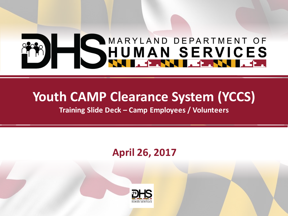# SHUMAN SERVICES

## **Youth CAMP Clearance System (YCCS)**

**Training Slide Deck – Camp Employees / Volunteers**

#### **April 26, 2017**

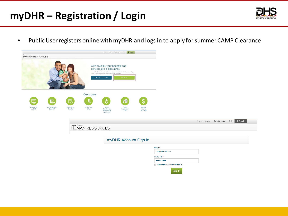#### **myDHR – Registration / Login**



• Public User registers online with myDHR and logs in to apply for summer CAMP Clearance

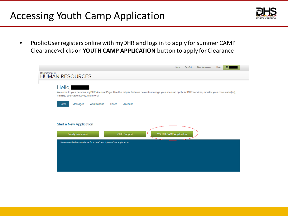#### Accessing Youth Camp Application



• Public User registers online with myDHR and logs in to apply for summer CAMP Clearance>clicks on **YOUTH CAMP APPLICATION** button to apply for Clearance

|               |                                                                                                                                                                                                                                                                                                                                                                                                                                                                                                                                                   | Home | Español | Other Languages | Help |  |
|---------------|---------------------------------------------------------------------------------------------------------------------------------------------------------------------------------------------------------------------------------------------------------------------------------------------------------------------------------------------------------------------------------------------------------------------------------------------------------------------------------------------------------------------------------------------------|------|---------|-----------------|------|--|
| Department of | <b>HUMAN RESOURCES</b>                                                                                                                                                                                                                                                                                                                                                                                                                                                                                                                            |      |         |                 |      |  |
|               | $Hello,$ $\qquad$ $\qquad$ $\qquad$ $\qquad$ $\qquad$ $\qquad$ $\qquad$ $\qquad$ $\qquad$ $\qquad$ $\qquad$ $\qquad$ $\qquad$ $\qquad$ $\qquad$ $\qquad$ $\qquad$ $\qquad$ $\qquad$ $\qquad$ $\qquad$ $\qquad$ $\qquad$ $\qquad$ $\qquad$ $\qquad$ $\qquad$ $\qquad$ $\qquad$ $\qquad$ $\qquad$ $\qquad$ $\qquad$ $\qquad$ $\qquad$ $\qquad$<br>Welcome to your personal myDHR Account Page. Use the helpful features below to manage your account, apply for DHR services, monitor your case status(es),<br>manage your case activity, and more! |      |         |                 |      |  |
|               | Messages<br><b>Applications</b><br>Cases<br>Home<br><b>Account</b>                                                                                                                                                                                                                                                                                                                                                                                                                                                                                |      |         |                 |      |  |
|               | <b>Start a New Application</b>                                                                                                                                                                                                                                                                                                                                                                                                                                                                                                                    |      |         |                 |      |  |
|               | YOUTH CAMP Application<br><b>Child Support</b><br><b>Family Investment</b><br>Hover over the buttons above for a brief description of the application.                                                                                                                                                                                                                                                                                                                                                                                            |      |         |                 |      |  |
|               |                                                                                                                                                                                                                                                                                                                                                                                                                                                                                                                                                   |      |         |                 |      |  |
|               |                                                                                                                                                                                                                                                                                                                                                                                                                                                                                                                                                   |      |         |                 |      |  |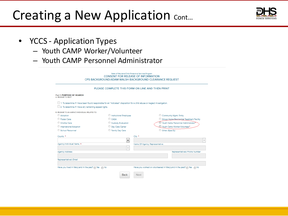#### Creating a New Application Cont...



- YCCS Application Types
	- Youth CAMP Worker/Volunteer
	- Youth CAMP Personnel Administrator

|                                                                                                                             | State of Maryland-Child Protective Services Program | <b>CONSENT FOR RELEASE OF INFORMATION</b><br>CPS BACKGROUND/ADAM WALSH BACKGROUND CLEARANCE REQUEST |                                           |  |  |  |
|-----------------------------------------------------------------------------------------------------------------------------|-----------------------------------------------------|-----------------------------------------------------------------------------------------------------|-------------------------------------------|--|--|--|
|                                                                                                                             |                                                     | PLEASE COMPLETE THIS FORM ON LINE AND THEN PRINT                                                    |                                           |  |  |  |
| Part 1: PURPOSE OF SEARCH<br>A RELEASE TO SELE:                                                                             |                                                     |                                                                                                     |                                           |  |  |  |
| 1. To determine if I have been found responsible for an "indicated" disposition for a child abuse or neglect investigation. |                                                     |                                                                                                     |                                           |  |  |  |
| 2. To determine if I have any remaining appeal rights.                                                                      |                                                     |                                                                                                     |                                           |  |  |  |
| B. RELEASE TO AN AGENCY/INDIVIDUAL RELATED TO:                                                                              |                                                     |                                                                                                     |                                           |  |  |  |
| Adoption                                                                                                                    | <b>O</b> Institutional Employee                     |                                                                                                     | Community Mgmt. Entity                    |  |  |  |
| <b>C</b> Foster Care                                                                                                        | $\bigcirc$ CASA                                     |                                                                                                     | Group Home/Residential Treatment Facility |  |  |  |
| Kinship Care                                                                                                                | Custody Evaluation                                  | Vouth Camp Personnel Administrator                                                                  |                                           |  |  |  |
| International Adoption                                                                                                      | Day Care Center                                     |                                                                                                     | Youth Camp Worker/Volunteer*              |  |  |  |
| School Personnel                                                                                                            | Family Day Care                                     | O Other (Specify)                                                                                   |                                           |  |  |  |
| County *                                                                                                                    |                                                     | City *                                                                                              |                                           |  |  |  |
|                                                                                                                             | $\blacktriangledown$                                |                                                                                                     | $\overline{\phantom{a}}$                  |  |  |  |
| Agency/Individual Name *                                                                                                    |                                                     | Name Of Agency Representative                                                                       |                                           |  |  |  |
|                                                                                                                             | $\overline{\phantom{a}}$                            |                                                                                                     |                                           |  |  |  |
| <b>Agency Address</b>                                                                                                       |                                                     |                                                                                                     | Representative's Phone Number             |  |  |  |
|                                                                                                                             |                                                     |                                                                                                     |                                           |  |  |  |
| Representative's Email                                                                                                      |                                                     |                                                                                                     |                                           |  |  |  |
|                                                                                                                             |                                                     |                                                                                                     |                                           |  |  |  |
| Have you lived in MaryLand in the past? @ Yes @ No                                                                          |                                                     | Have you worked or volunteered in MaryLand in the past? @ Yes @ No                                  |                                           |  |  |  |
|                                                                                                                             | <b>Back</b>                                         | Next                                                                                                |                                           |  |  |  |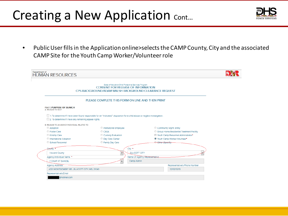## Creating a New Application Cont...



• Public User fills in the Application online>selects the CAMP County, City and the associated CAMP Site for the Youth Camp Worker/Volunteer role

| Department of<br><b>HUMAN RESOURCES</b>                |                                                                                                                                                            |                                           |  |
|--------------------------------------------------------|------------------------------------------------------------------------------------------------------------------------------------------------------------|-------------------------------------------|--|
|                                                        | State of Maryland-Child Protective Services Program<br><b>CONSENT FOR RELEASE OF INFORMATION</b><br>CPS BACKGROUND/ADAM WALSH BACKGROUND CLEARANCE REQUEST |                                           |  |
|                                                        | PLEASE COMPLETE THIS FORM ON LINE AND THEN PRINT                                                                                                           |                                           |  |
| Part 1: PURPOSE OF SEARCH<br>A. RELEASE TO SELF:       |                                                                                                                                                            |                                           |  |
| 2. To determine if I have any remaining appeal rights. | 1. To determine if I have been found responsible for an "indicated" disposition for a child abuse or neglect investigation.                                |                                           |  |
| B. RELEASE TO AN AGENCY/INDIVIDUAL RELATED TO:         |                                                                                                                                                            |                                           |  |
| Adoption                                               | <b>O</b> Institutional Employee                                                                                                                            | Community Mgmt. Entity                    |  |
| <b>C</b> Foster Care                                   | CASA                                                                                                                                                       | Group Home/Residential Treatment Facility |  |
| Kinship Care                                           | Custody Evaluation                                                                                                                                         | O Youth Camp Personnel Administrator*     |  |
| International Adoption                                 | Day Care Center                                                                                                                                            | <sup>O</sup> Youth Camp Worker/Volunteer* |  |
| School Personnel                                       | Family Day Care                                                                                                                                            | Other (Specify)                           |  |
| Ceanty <sup>*</sup>                                    | City *                                                                                                                                                     |                                           |  |
| <b>Howard County</b>                                   | <b>ELLICOTT CITY</b>                                                                                                                                       |                                           |  |
| Agency/Individual Name *                               |                                                                                                                                                            | Name Of Agency Representative             |  |
| Y CAMP AT DANCEL                                       | Camp Admin                                                                                                                                                 |                                           |  |
| <b>Agency Address</b>                                  |                                                                                                                                                            | Representative's Phone Number             |  |
| 4331 MONTGOMERY RD, ELLICOTT CITY, MD, 21043           |                                                                                                                                                            | 3213213213                                |  |
| Representative's Email                                 |                                                                                                                                                            |                                           |  |
| @hotmail.com                                           |                                                                                                                                                            |                                           |  |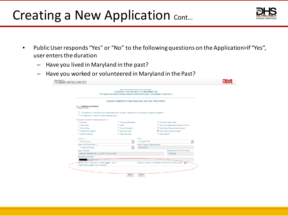## Creating a New Application cont...



- Public User responds "Yes" or "No" to the following questions on the Application>If "Yes", user enters the duration
	- Have you lived in Maryland in the past?
	- Have you worked or volunteered in Maryland in the Past?

| State of Maryland-Child Protective Services Program<br><b>CONSENT FOR RELEASE OF INFORMATION</b><br>CPS BACKGROUND/ADAM WALSH BACKGROUND CLEARANCE REQUEST<br>PLEASE COMPLETE THIS FORM ON LINE AND THEN PRINT<br><b>Part 1: PURPOSE OF SEARCH</b><br>A. RELEASE TO SELF:<br>1. To determine if I have been found responsible for an "indicated" disposition for a child abuse or neglect investigation.<br>2. To determine if I have any remaining appeal rights.<br>B. RELEASE TO AN AGENCY/INDIVIDUAL RELATED TO:<br>Adoption<br>Institutional Employee<br>Community Mgmt. Entity<br>CASA<br><b>Eoster Care</b><br>Group Home/Residential Treatment Facility<br>C Youth Camp Personnel Administrator*<br>Kinship Care<br>Custody Evaluation<br>International Adoption<br>Day Care Center<br><sup>O</sup> Youth Camp Worker/Volunteer*<br>School Personnel<br>Family Day Care<br>O Other (Specify)<br>County *<br>City <sup>*</sup><br>ELLICOTT CITY<br><b>Howard County</b><br>$\blacksquare$<br>$\overline{\phantom{a}}$<br>Agency/Individual Name *<br>Name Of Agency Representative<br>Y CAMP AT DANCEL<br>Camp Admin<br>$\overline{\phantom{a}}$<br>Representative's Phone Number<br><b>Agency Address</b><br>4331 MONTGOMERY RD, ELLICOTT CITY, MD, 21043<br>3213213213<br><b>Representative's Email</b><br>@hotmail.com-<br>Have you lived in MaryLand in the past? @ Yes @ No<br>Have you worked or volunteered in MaryLand in the past? @ Yes @ No<br>If Yes to either question, from what years<br><b>Back</b><br><b>Next</b> | Department of<br>HUMAN RESOURCES |  |  |
|-------------------------------------------------------------------------------------------------------------------------------------------------------------------------------------------------------------------------------------------------------------------------------------------------------------------------------------------------------------------------------------------------------------------------------------------------------------------------------------------------------------------------------------------------------------------------------------------------------------------------------------------------------------------------------------------------------------------------------------------------------------------------------------------------------------------------------------------------------------------------------------------------------------------------------------------------------------------------------------------------------------------------------------------------------------------------------------------------------------------------------------------------------------------------------------------------------------------------------------------------------------------------------------------------------------------------------------------------------------------------------------------------------------------------------------------------------------------------------------------------------------------------------------------|----------------------------------|--|--|
|                                                                                                                                                                                                                                                                                                                                                                                                                                                                                                                                                                                                                                                                                                                                                                                                                                                                                                                                                                                                                                                                                                                                                                                                                                                                                                                                                                                                                                                                                                                                           |                                  |  |  |
|                                                                                                                                                                                                                                                                                                                                                                                                                                                                                                                                                                                                                                                                                                                                                                                                                                                                                                                                                                                                                                                                                                                                                                                                                                                                                                                                                                                                                                                                                                                                           |                                  |  |  |
|                                                                                                                                                                                                                                                                                                                                                                                                                                                                                                                                                                                                                                                                                                                                                                                                                                                                                                                                                                                                                                                                                                                                                                                                                                                                                                                                                                                                                                                                                                                                           |                                  |  |  |
|                                                                                                                                                                                                                                                                                                                                                                                                                                                                                                                                                                                                                                                                                                                                                                                                                                                                                                                                                                                                                                                                                                                                                                                                                                                                                                                                                                                                                                                                                                                                           |                                  |  |  |
|                                                                                                                                                                                                                                                                                                                                                                                                                                                                                                                                                                                                                                                                                                                                                                                                                                                                                                                                                                                                                                                                                                                                                                                                                                                                                                                                                                                                                                                                                                                                           |                                  |  |  |
|                                                                                                                                                                                                                                                                                                                                                                                                                                                                                                                                                                                                                                                                                                                                                                                                                                                                                                                                                                                                                                                                                                                                                                                                                                                                                                                                                                                                                                                                                                                                           |                                  |  |  |
|                                                                                                                                                                                                                                                                                                                                                                                                                                                                                                                                                                                                                                                                                                                                                                                                                                                                                                                                                                                                                                                                                                                                                                                                                                                                                                                                                                                                                                                                                                                                           |                                  |  |  |
|                                                                                                                                                                                                                                                                                                                                                                                                                                                                                                                                                                                                                                                                                                                                                                                                                                                                                                                                                                                                                                                                                                                                                                                                                                                                                                                                                                                                                                                                                                                                           |                                  |  |  |
|                                                                                                                                                                                                                                                                                                                                                                                                                                                                                                                                                                                                                                                                                                                                                                                                                                                                                                                                                                                                                                                                                                                                                                                                                                                                                                                                                                                                                                                                                                                                           |                                  |  |  |
|                                                                                                                                                                                                                                                                                                                                                                                                                                                                                                                                                                                                                                                                                                                                                                                                                                                                                                                                                                                                                                                                                                                                                                                                                                                                                                                                                                                                                                                                                                                                           |                                  |  |  |
|                                                                                                                                                                                                                                                                                                                                                                                                                                                                                                                                                                                                                                                                                                                                                                                                                                                                                                                                                                                                                                                                                                                                                                                                                                                                                                                                                                                                                                                                                                                                           |                                  |  |  |
|                                                                                                                                                                                                                                                                                                                                                                                                                                                                                                                                                                                                                                                                                                                                                                                                                                                                                                                                                                                                                                                                                                                                                                                                                                                                                                                                                                                                                                                                                                                                           |                                  |  |  |
|                                                                                                                                                                                                                                                                                                                                                                                                                                                                                                                                                                                                                                                                                                                                                                                                                                                                                                                                                                                                                                                                                                                                                                                                                                                                                                                                                                                                                                                                                                                                           |                                  |  |  |
|                                                                                                                                                                                                                                                                                                                                                                                                                                                                                                                                                                                                                                                                                                                                                                                                                                                                                                                                                                                                                                                                                                                                                                                                                                                                                                                                                                                                                                                                                                                                           |                                  |  |  |
|                                                                                                                                                                                                                                                                                                                                                                                                                                                                                                                                                                                                                                                                                                                                                                                                                                                                                                                                                                                                                                                                                                                                                                                                                                                                                                                                                                                                                                                                                                                                           |                                  |  |  |
|                                                                                                                                                                                                                                                                                                                                                                                                                                                                                                                                                                                                                                                                                                                                                                                                                                                                                                                                                                                                                                                                                                                                                                                                                                                                                                                                                                                                                                                                                                                                           |                                  |  |  |
|                                                                                                                                                                                                                                                                                                                                                                                                                                                                                                                                                                                                                                                                                                                                                                                                                                                                                                                                                                                                                                                                                                                                                                                                                                                                                                                                                                                                                                                                                                                                           |                                  |  |  |
|                                                                                                                                                                                                                                                                                                                                                                                                                                                                                                                                                                                                                                                                                                                                                                                                                                                                                                                                                                                                                                                                                                                                                                                                                                                                                                                                                                                                                                                                                                                                           |                                  |  |  |
|                                                                                                                                                                                                                                                                                                                                                                                                                                                                                                                                                                                                                                                                                                                                                                                                                                                                                                                                                                                                                                                                                                                                                                                                                                                                                                                                                                                                                                                                                                                                           |                                  |  |  |
|                                                                                                                                                                                                                                                                                                                                                                                                                                                                                                                                                                                                                                                                                                                                                                                                                                                                                                                                                                                                                                                                                                                                                                                                                                                                                                                                                                                                                                                                                                                                           |                                  |  |  |
|                                                                                                                                                                                                                                                                                                                                                                                                                                                                                                                                                                                                                                                                                                                                                                                                                                                                                                                                                                                                                                                                                                                                                                                                                                                                                                                                                                                                                                                                                                                                           |                                  |  |  |
|                                                                                                                                                                                                                                                                                                                                                                                                                                                                                                                                                                                                                                                                                                                                                                                                                                                                                                                                                                                                                                                                                                                                                                                                                                                                                                                                                                                                                                                                                                                                           |                                  |  |  |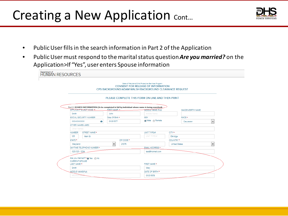#### Creating a New Application cont...



- Public User fills in the search information in Part 2 of the Application
- Public User must respond to the marital status question *Are you married?* on the Application>If "Yes", user enters Spouse information

| Department of<br><b>HUMAN RESOURCES</b> |                                                        |               |                               |              |                                                                                                                                                                                                                |                      |                                       |
|-----------------------------------------|--------------------------------------------------------|---------------|-------------------------------|--------------|----------------------------------------------------------------------------------------------------------------------------------------------------------------------------------------------------------------|----------------------|---------------------------------------|
|                                         |                                                        |               |                               |              | State of Maryland-Child Protective Services Program<br><b>CONSENT FOR RELEASE OF INFORMATION</b><br>CPS BACKGROUND/ADAM WALSH BACKGROUND CLEARANCE REQUEST<br>PLEASE COMPLETE THIS FORM ON LINE AND THEN PRINT |                      |                                       |
|                                         | <b>APPLICANT'S LAST NAME &amp;</b>                     |               | FIRST NAME *                  |              | Part 2: SEARCH INFORMATION (To be completed in full by individual whose name is being searched)<br><b>MIDDLE NAME</b> (Full)                                                                                   |                      | MAIDEN/BIRTH NAME                     |
|                                         | Smith                                                  |               | John                          |              | middle Name                                                                                                                                                                                                    |                      |                                       |
|                                         | SOCIAL SECURITY NUMBER                                 |               | Date Of Birth *<br>01/01/1977 |              | <b>SEX</b>                                                                                                                                                                                                     |                      | RACE *                                |
|                                         | XXX-XX-XXXX                                            | $\bullet$     |                               |              | Male Female                                                                                                                                                                                                    |                      | $\overline{\phantom{a}}$<br>Caucasian |
|                                         | OTHER NAMES USED                                       |               |                               |              |                                                                                                                                                                                                                |                      |                                       |
|                                         | Other Names                                            |               |                               |              |                                                                                                                                                                                                                |                      |                                       |
|                                         | <b>NUMBER</b>                                          | STREET NAME * |                               |              | UNIT TYPE/#                                                                                                                                                                                                    | CITY *               |                                       |
|                                         | 123                                                    | Main St       |                               |              | UNIT TYPE/#                                                                                                                                                                                                    | Elkridge             |                                       |
|                                         | STATE *                                                |               |                               | ZIP CODE *   |                                                                                                                                                                                                                | <b>COUNTRY*</b>      |                                       |
|                                         | Maryland                                               |               | $\overline{\phantom{a}}$      | 21075        |                                                                                                                                                                                                                | <b>United States</b> | $\overline{\phantom{a}}$              |
|                                         | DAYTIME TELEPHONE NUMBER *                             |               |                               |              | <b>EMAIL ADDRESS *</b>                                                                                                                                                                                         |                      |                                       |
|                                         | (123) 123 - 1234                                       |               |                               |              | test@hotmail.com                                                                                                                                                                                               |                      |                                       |
|                                         | Are you married? * @ Yes @ No<br><b>CURRENT SPOUSE</b> |               |                               | FIRST NAME * |                                                                                                                                                                                                                |                      |                                       |
|                                         | LAST NAME *<br>Smith                                   |               |                               |              | Mary                                                                                                                                                                                                           |                      |                                       |
|                                         | MIDDLE NAME(Full)                                      |               |                               |              | DATE OF BIRTH *                                                                                                                                                                                                |                      |                                       |
|                                         | <b>MIDDLE</b>                                          |               |                               |              | 01/01/1978                                                                                                                                                                                                     |                      |                                       |
|                                         |                                                        |               |                               |              |                                                                                                                                                                                                                |                      |                                       |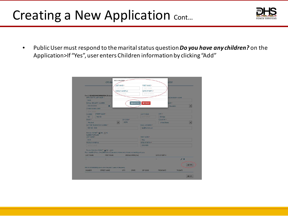# Creating a New Application Cont...



• Public User must respond to the marital status question *Do you have any children?* on the Application>If "Yes", user enters Children information by clicking "Add"

|                                                                         |                                                                                                                | LAST NAME *             |                    | <b>FIRST NAME *</b>    |               |                         |                |
|-------------------------------------------------------------------------|----------------------------------------------------------------------------------------------------------------|-------------------------|--------------------|------------------------|---------------|-------------------------|----------------|
|                                                                         |                                                                                                                | LAST NAME               |                    | <b>FRST NAME</b>       |               |                         |                |
|                                                                         |                                                                                                                | MIDDLE NAME(Full)       |                    | DATE OF BIRTH *        |               |                         |                |
|                                                                         |                                                                                                                | <b>SOLE NAME</b>        |                    | DATE OF BRITH          |               |                         |                |
| Part 2: SEARCH INFORMATION (To be on<br>APPLICANT'S LAST NAME .         |                                                                                                                |                         |                    |                        |               | <b>ANDEN/BIRTH NAME</b> |                |
| Smith                                                                   |                                                                                                                |                         |                    |                        |               |                         |                |
| SOCIAL SECURITY NUMBER                                                  |                                                                                                                |                         | E Add Child        | <b>X</b> Cancel        |               | <b>PACE *</b>           |                |
| XXXXXXXXXX                                                              | $\circ$                                                                                                        |                         |                    |                        |               | Caucasian               |                |
| OTHER NAMES USED                                                        |                                                                                                                |                         |                    |                        |               |                         |                |
| <b>Citize Harves</b>                                                    |                                                                                                                |                         |                    |                        |               |                         |                |
| STREET NAME *<br><b>NUMBER</b>                                          |                                                                                                                |                         | UNIT TYPE/#        |                        | CITY .        |                         |                |
| $123 -$<br>Main St                                                      |                                                                                                                |                         |                    | <b>UNIT TIPE's</b>     | Elkridge      |                         |                |
| STATE *                                                                 |                                                                                                                | ZIP CODE *              |                    |                        | COUNTRY *     |                         |                |
| Maryland                                                                |                                                                                                                | $\blacksquare$<br>21075 |                    |                        | United States |                         |                |
| DAYTIME TELEPHONE NUMBER *                                              |                                                                                                                |                         |                    | <b>EMAIL ADDRESS *</b> |               |                         |                |
| (123) 123 - 1234                                                        |                                                                                                                |                         |                    | test@hotmail.com       |               |                         |                |
| Are you married? * @ Yes. @ No.<br><b>CURRENT SPOUSE</b><br>LAST NAME . |                                                                                                                |                         | FIRST NAME *       |                        |               |                         |                |
| Smith                                                                   |                                                                                                                |                         | Mary               |                        |               |                         |                |
| MIDDLE NAME/Full                                                        |                                                                                                                |                         |                    | DATE OF BRTH +         |               |                         |                |
| <b>MIDDLE MANE</b>                                                      |                                                                                                                |                         | 01/01/1978         |                        |               |                         |                |
| Do you have any chicken? * @\Yes @\No<br><b>LAST NAME</b>               | FULL NAMES OF ALL CHILDREN (To include adult children and children not residing with you)<br><b>FIRST NAME</b> |                         | MIDDLE NAME (Full) |                        | DATE OF BIRTH |                         |                |
|                                                                         |                                                                                                                |                         |                    |                        |               |                         | $\overline{X}$ |
|                                                                         |                                                                                                                |                         |                    |                        |               |                         | Add            |
|                                                                         | PRIOR ADDRESSES(List all within the past 7 years in Maryland.)                                                 |                         |                    |                        |               |                         |                |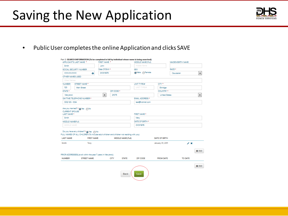#### Saving the New Application



• Public User completes the online Application and clicks SAVE

|                           | APPLICANT'S LAST NAME *                                                                                                                                 | FIRST NAME *         |             |                    | MIDDLE NAME (Full)            |                      | MAIDEN/BIRTH NAME |         |
|---------------------------|---------------------------------------------------------------------------------------------------------------------------------------------------------|----------------------|-------------|--------------------|-------------------------------|----------------------|-------------------|---------|
| Smith                     |                                                                                                                                                         | John                 |             |                    | middle Name                   |                      |                   |         |
| SOCIAL SECURITY NUMBER    |                                                                                                                                                         | Date Of Birth *      |             |                    | <b>SEX</b>                    |                      | <b>RACE *</b>     |         |
| XXX-XX-XXXX               | $\bullet$                                                                                                                                               | 01/01/1975           |             |                    | Male Female                   |                      | Caucasian         | ۰       |
| OTHER NAMES USED          |                                                                                                                                                         |                      |             |                    |                               |                      |                   |         |
| Other Names               |                                                                                                                                                         |                      |             |                    |                               |                      |                   |         |
| <b>NUMBER</b>             | STREET NAME *                                                                                                                                           |                      |             |                    | UNIT TYPE/#                   | CITY <sup>*</sup>    |                   |         |
| 123                       | Main Street                                                                                                                                             |                      |             |                    | <b>UNIT TYPE/#</b>            | Elkridge             |                   |         |
| STATE *                   |                                                                                                                                                         |                      | ZIP CODE *  |                    |                               | COUNTRY *            |                   |         |
| Maryland                  |                                                                                                                                                         | $\blacktriangledown$ | 21075       |                    |                               | <b>United States</b> |                   | ۰       |
|                           | DAYTIME TELEPHONE NUMBER *                                                                                                                              |                      |             |                    | <b>EMAIL ADDRESS *</b>        |                      |                   |         |
| (123) 123 - 1234          |                                                                                                                                                         |                      |             |                    | test@hotmail.com              |                      |                   |         |
| <b>MIDDLE NAME</b>        |                                                                                                                                                         |                      |             |                    | DATE OF BIRTH *<br>01/01/1976 |                      |                   |         |
|                           | Do you have any chidren? * @ Yes @ No<br>FULL NAMES OF ALL CHILDREN (To include adult children and children not residing with you)<br><b>FIRST NAME</b> |                      |             | MIDDLE NAME (Full) |                               | <b>DATE OF BIRTH</b> |                   |         |
| <b>LAST NAME</b><br>Smith | Tony                                                                                                                                                    |                      |             |                    |                               | January 01, 2011     | ∕ ×               |         |
|                           | PRIOR ADDRESSES(List all within the past 7 years in Maryland.)                                                                                          |                      |             |                    |                               |                      |                   |         |
| <b>NUMBER</b>             | <b>STREET NAME</b>                                                                                                                                      |                      | <b>CITY</b> | <b>STATE</b>       | ZIP CODE                      | <b>FROM DATE</b>     | <b>TO DATE</b>    | $+$ Add |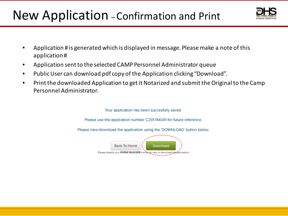# New Application –Confirmation and Print



- Application # is generated which is displayed in message. Please make a note of this application #
- Application sent to the selected CAMP Personnel Administrator queue
- Public User can download pdf copy of the Application clicking "Download".
- Print the downloaded Application to get it Notarized and submit the Original to the Camp Personnel Administrator.

Your application has been succesfully saved.

Please use the application number C201744341 for future reference.

Please view/download the application using the 'DOWNLOAD' button below.